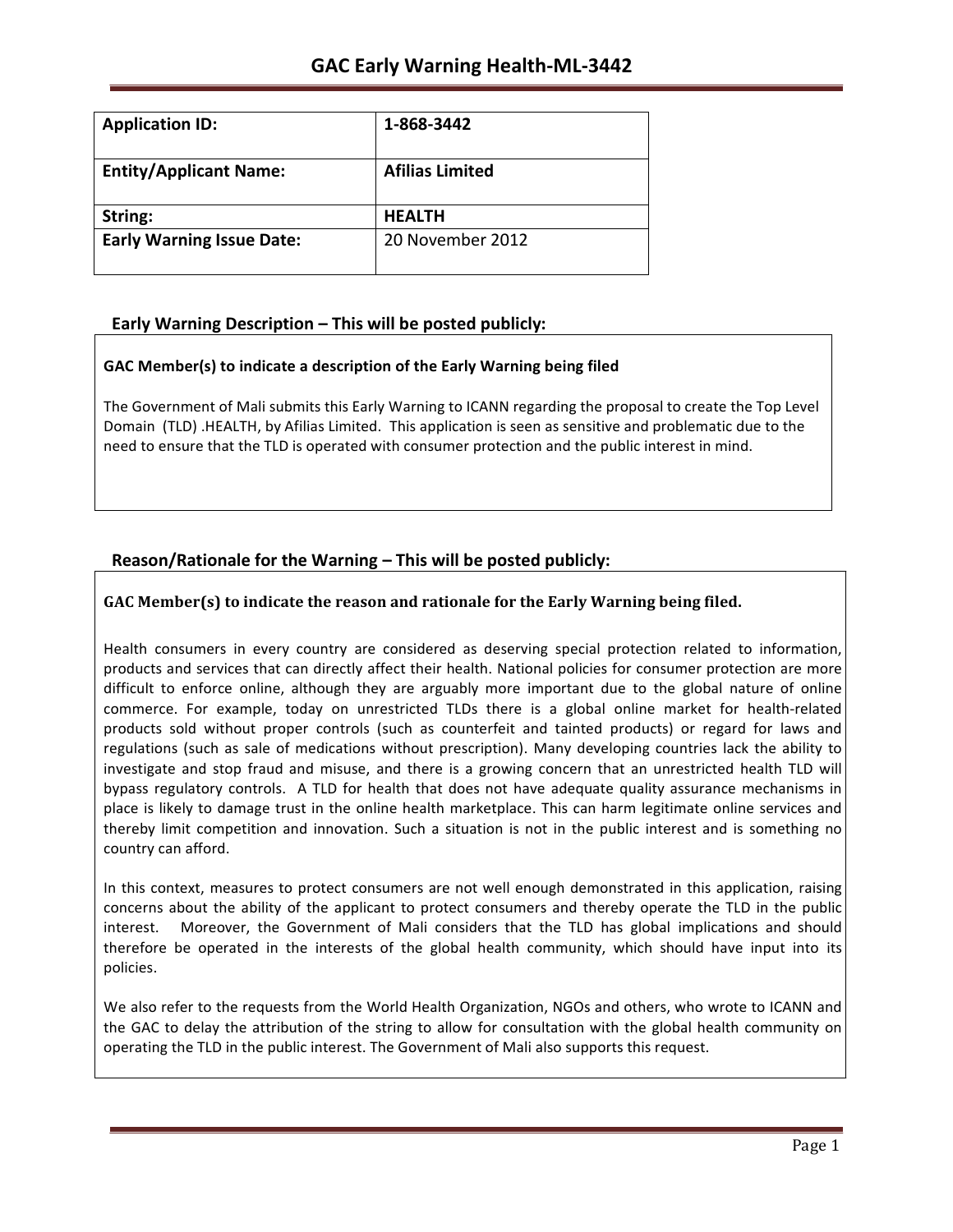| <b>Application ID:</b>           | 1-868-3442             |
|----------------------------------|------------------------|
| <b>Entity/Applicant Name:</b>    | <b>Afilias Limited</b> |
| String:                          | <b>HEALTH</b>          |
| <b>Early Warning Issue Date:</b> | 20 November 2012       |

# **Early Warning Description – This will be posted publicly:**

### **GAC Member(s) to indicate a description of the Early Warning being filed**

The Government of Mali submits this Early Warning to ICANN regarding the proposal to create the Top Level Domain (TLD) .HEALTH, by Afilias Limited. This application is seen as sensitive and problematic due to the need to ensure that the TLD is operated with consumer protection and the public interest in mind.

# **Reason/Rationale for the Warning – This will be posted publicly:**

## **GAC** Member(s) to indicate the reason and rationale for the Early Warning being filed.

Health consumers in every country are considered as deserving special protection related to information, products and services that can directly affect their health. National policies for consumer protection are more difficult to enforce online, although they are arguably more important due to the global nature of online commerce. For example, today on unrestricted TLDs there is a global online market for health-related products sold without proper controls (such as counterfeit and tainted products) or regard for laws and regulations (such as sale of medications without prescription). Many developing countries lack the ability to investigate and stop fraud and misuse, and there is a growing concern that an unrestricted health TLD will bypass regulatory controls. A TLD for health that does not have adequate quality assurance mechanisms in place is likely to damage trust in the online health marketplace. This can harm legitimate online services and thereby limit competition and innovation. Such a situation is not in the public interest and is something no country can afford.

In this context, measures to protect consumers are not well enough demonstrated in this application, raising concerns about the ability of the applicant to protect consumers and thereby operate the TLD in the public interest. Moreover, the Government of Mali considers that the TLD has global implications and should therefore be operated in the interests of the global health community, which should have input into its policies.

We also refer to the requests from the World Health Organization, NGOs and others, who wrote to ICANN and the GAC to delay the attribution of the string to allow for consultation with the global health community on operating the TLD in the public interest. The Government of Mali also supports this request.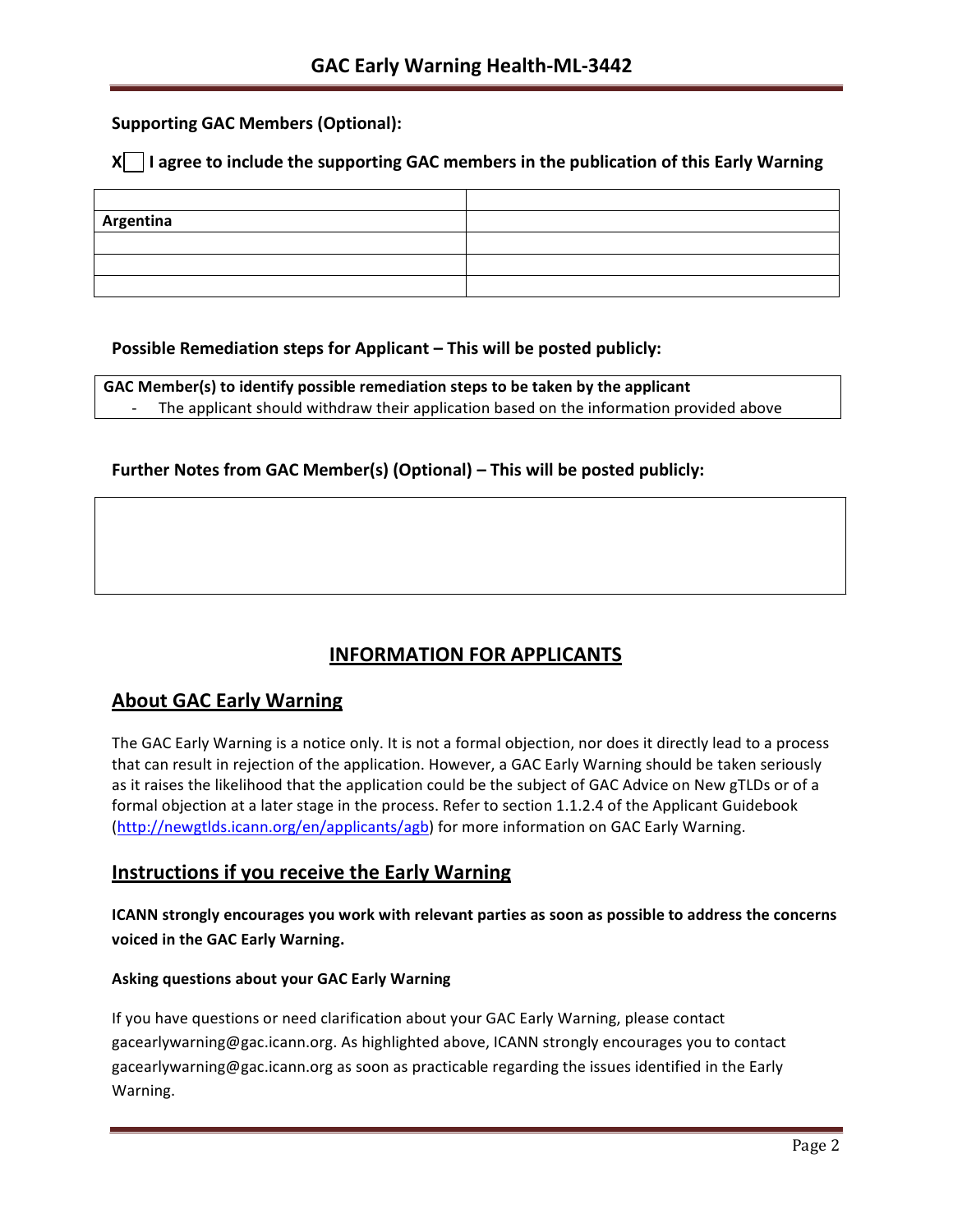# **Supporting GAC Members (Optional):**

## **X** | I agree to include the supporting GAC members in the publication of this Early Warning

| Argentina |  |
|-----------|--|
|           |  |
|           |  |
|           |  |

## **Possible Remediation steps for Applicant – This will be posted publicly:**

**GAC Member(s) to identify possible remediation steps to be taken by the applicant** The applicant should withdraw their application based on the information provided above

## **Further Notes from GAC Member(s) (Optional) – This will be posted publicly:**

# **INFORMATION FOR APPLICANTS**

# **About GAC Early Warning**

The GAC Early Warning is a notice only. It is not a formal objection, nor does it directly lead to a process that can result in rejection of the application. However, a GAC Early Warning should be taken seriously as it raises the likelihood that the application could be the subject of GAC Advice on New gTLDs or of a formal objection at a later stage in the process. Refer to section 1.1.2.4 of the Applicant Guidebook (http://newgtlds.icann.org/en/applicants/agb) for more information on GAC Early Warning.

## **Instructions if you receive the Early Warning**

**ICANN strongly encourages you work with relevant parties as soon as possible to address the concerns voiced in the GAC Early Warning.**

### **Asking questions about your GAC Early Warning**

If you have questions or need clarification about your GAC Early Warning, please contact gacearlywarning@gac.icann.org. As highlighted above, ICANN strongly encourages you to contact gacearlywarning@gac.icann.org as soon as practicable regarding the issues identified in the Early Warning.